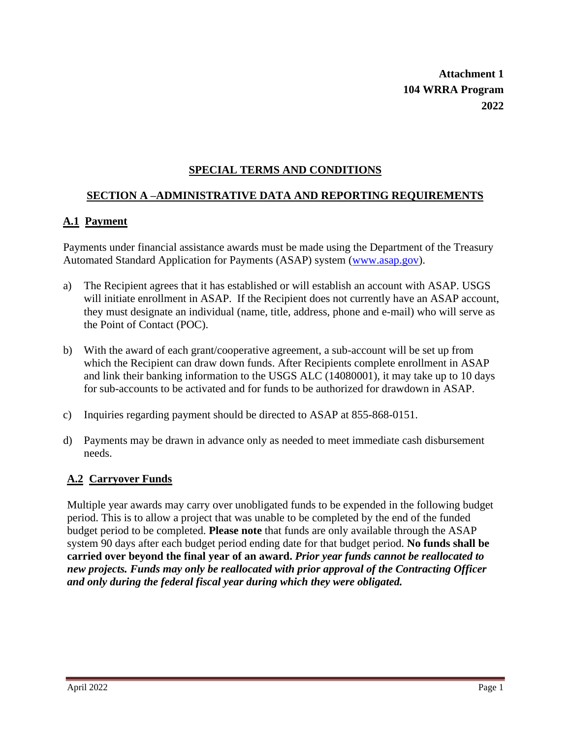**Attachment 1 104 WRRA Program 2022**

## **SPECIAL TERMS AND CONDITIONS**

## **SECTION A –ADMINISTRATIVE DATA AND REPORTING REQUIREMENTS**

## **A.1 Payment**

Payments under financial assistance awards must be made using the Department of the Treasury Automated Standard Application for Payments (ASAP) system [\(www.asap.gov\)](http://www.asap.gov/).

- a) The Recipient agrees that it has established or will establish an account with ASAP. USGS will initiate enrollment in ASAP. If the Recipient does not currently have an ASAP account, they must designate an individual (name, title, address, phone and e-mail) who will serve as the Point of Contact (POC).
- b) With the award of each grant/cooperative agreement, a sub-account will be set up from which the Recipient can draw down funds. After Recipients complete enrollment in ASAP and link their banking information to the USGS ALC (14080001), it may take up to 10 days for sub-accounts to be activated and for funds to be authorized for drawdown in ASAP.
- c) Inquiries regarding payment should be directed to ASAP at 855-868-0151.
- d) Payments may be drawn in advance only as needed to meet immediate cash disbursement needs.

## **A.2 Carryover Funds**

Multiple year awards may carry over unobligated funds to be expended in the following budget period. This is to allow a project that was unable to be completed by the end of the funded budget period to be completed. **Please note** that funds are only available through the ASAP system 90 days after each budget period ending date for that budget period. **No funds shall be carried over beyond the final year of an award.** *Prior year funds cannot be reallocated to new projects. Funds may only be reallocated with prior approval of the Contracting Officer and only during the federal fiscal year during which they were obligated.*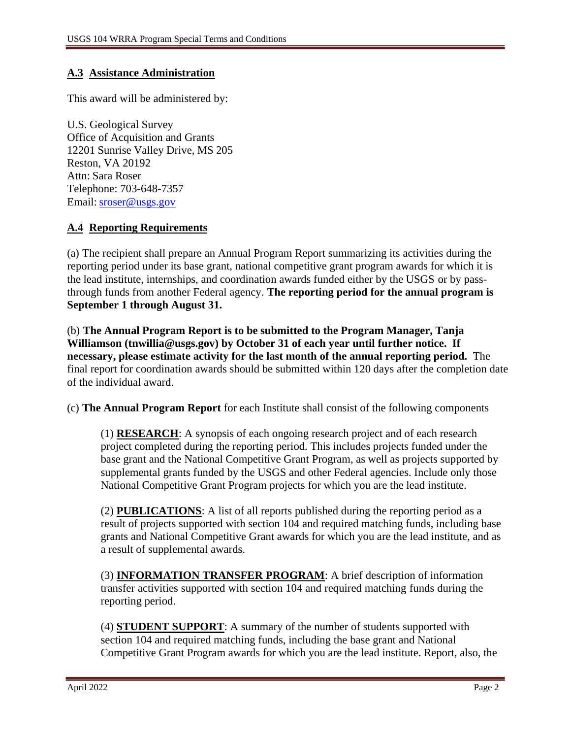## **A.3 Assistance Administration**

This award will be administered by:

U.S. Geological Survey Office of Acquisition and Grants 12201 Sunrise Valley Drive, MS 205 Reston, VA 20192 Attn: Sara Roser Telephone: 703-648-7357 Email: [sroser@usgs.gov](mailto:sroser@usgs.gov)

## **A.4 Reporting Requirements**

(a) The recipient shall prepare an Annual Program Report summarizing its activities during the reporting period under its base grant, national competitive grant program awards for which it is the lead institute, internships, and coordination awards funded either by the USGS or by passthrough funds from another Federal agency. **The reporting period for the annual program is September 1 through August 31.**

(b) **The Annual Program Report is to be submitted to the Program Manager, Tanja Williamson (tnwillia@usgs.gov) by October 31 of each year until further notice. If necessary, please estimate activity for the last month of the annual reporting period.** The final report for coordination awards should be submitted within 120 days after the completion date of the individual award.

(c) **The Annual Program Report** for each Institute shall consist of the following components

(1) **RESEARCH**: A synopsis of each ongoing research project and of each research project completed during the reporting period. This includes projects funded under the base grant and the National Competitive Grant Program, as well as projects supported by supplemental grants funded by the USGS and other Federal agencies. Include only those National Competitive Grant Program projects for which you are the lead institute.

(2) **PUBLICATIONS**: A list of all reports published during the reporting period as a result of projects supported with section 104 and required matching funds, including base grants and National Competitive Grant awards for which you are the lead institute, and as a result of supplemental awards.

(3) **INFORMATION TRANSFER PROGRAM**: A brief description of information transfer activities supported with section 104 and required matching funds during the reporting period.

(4) **STUDENT SUPPORT**: A summary of the number of students supported with section 104 and required matching funds, including the base grant and National Competitive Grant Program awards for which you are the lead institute. Report, also, the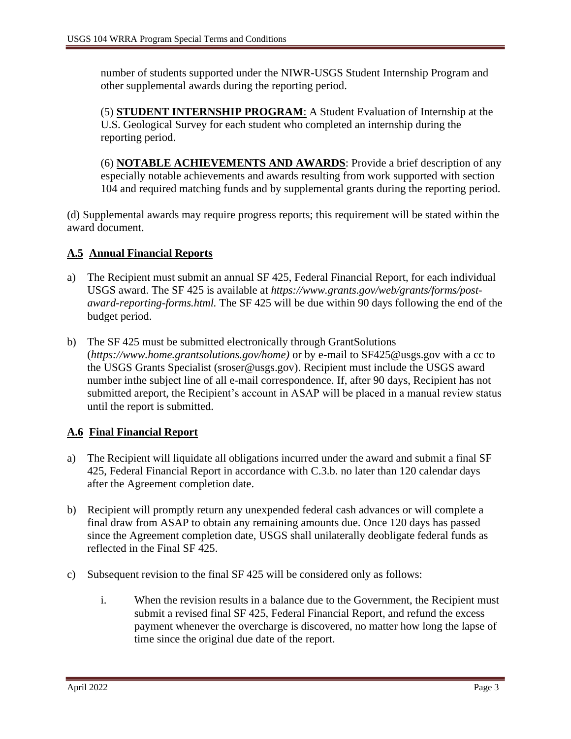number of students supported under the NIWR-USGS Student Internship Program and other supplemental awards during the reporting period.

(5) **STUDENT INTERNSHIP PROGRAM**: A Student Evaluation of Internship at the U.S. Geological Survey for each student who completed an internship during the reporting period.

(6) **NOTABLE ACHIEVEMENTS AND AWARDS**: Provide a brief description of any especially notable achievements and awards resulting from work supported with section 104 and required matching funds and by supplemental grants during the reporting period.

(d) Supplemental awards may require progress reports; this requirement will be stated within the award document.

# **A.5 Annual Financial Reports**

- a) The Recipient must submit an annual SF 425, Federal Financial Report, for each individual USGS award. The SF 425 is available at *ht[tps://www.grants.gov/](http://www.grants.gov/web/grants/forms/post-)w[eb/grants/forms/post](http://www.grants.gov/web/grants/forms/post-)award-reporting-forms.html.* The SF 425 will be due within 90 days following the end of the budget period.
- b) The SF 425 must be submitted electronically through GrantSolutions (*ht[tps://www.home.](http://www.home.grantsolutions.gov/home))g[rantsolutions.gov/home\)](http://www.home.grantsolutions.gov/home))* or by e-mail to [SF425@usgs.gov w](mailto:SF425@usgs.gov)ith a cc to the USGS Grants Specialist (sroser@usgs.gov). Recipient must include the USGS award number inthe subject line of all e-mail correspondence. If, after 90 days, Recipient has not submitted areport, the Recipient's account in ASAP will be placed in a manual review status until the report is submitted.

# **A.6 Final Financial Report**

- a) The Recipient will liquidate all obligations incurred under the award and submit a final SF 425, Federal Financial Report in accordance with C.3.b. no later than 120 calendar days after the Agreement completion date.
- b) Recipient will promptly return any unexpended federal cash advances or will complete a final draw from ASAP to obtain any remaining amounts due. Once 120 days has passed since the Agreement completion date, USGS shall unilaterally deobligate federal funds as reflected in the Final SF 425.
- c) Subsequent revision to the final SF 425 will be considered only as follows:
	- i. When the revision results in a balance due to the Government, the Recipient must submit a revised final SF 425, Federal Financial Report, and refund the excess payment whenever the overcharge is discovered, no matter how long the lapse of time since the original due date of the report.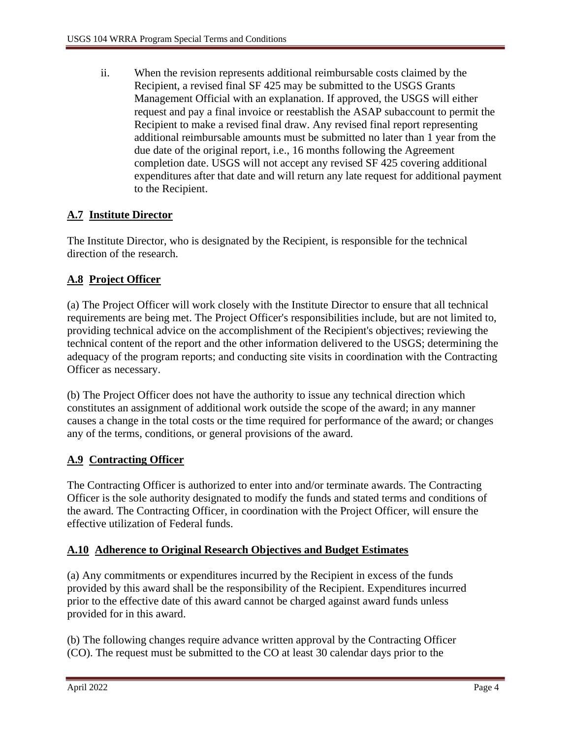ii. When the revision represents additional reimbursable costs claimed by the Recipient, a revised final SF 425 may be submitted to the USGS Grants Management Official with an explanation. If approved, the USGS will either request and pay a final invoice or reestablish the ASAP subaccount to permit the Recipient to make a revised final draw. Any revised final report representing additional reimbursable amounts must be submitted no later than 1 year from the due date of the original report, i.e., 16 months following the Agreement completion date. USGS will not accept any revised SF 425 covering additional expenditures after that date and will return any late request for additional payment to the Recipient.

# **A.7 Institute Director**

The Institute Director, who is designated by the Recipient, is responsible for the technical direction of the research.

# **A.8 Project Officer**

(a) The Project Officer will work closely with the Institute Director to ensure that all technical requirements are being met. The Project Officer's responsibilities include, but are not limited to, providing technical advice on the accomplishment of the Recipient's objectives; reviewing the technical content of the report and the other information delivered to the USGS; determining the adequacy of the program reports; and conducting site visits in coordination with the Contracting Officer as necessary.

(b) The Project Officer does not have the authority to issue any technical direction which constitutes an assignment of additional work outside the scope of the award; in any manner causes a change in the total costs or the time required for performance of the award; or changes any of the terms, conditions, or general provisions of the award.

# **A.9 Contracting Officer**

The Contracting Officer is authorized to enter into and/or terminate awards. The Contracting Officer is the sole authority designated to modify the funds and stated terms and conditions of the award. The Contracting Officer, in coordination with the Project Officer, will ensure the effective utilization of Federal funds.

# **A.10 Adherence to Original Research Objectives and Budget Estimates**

(a) Any commitments or expenditures incurred by the Recipient in excess of the funds provided by this award shall be the responsibility of the Recipient. Expenditures incurred prior to the effective date of this award cannot be charged against award funds unless provided for in this award.

(b) The following changes require advance written approval by the Contracting Officer (CO). The request must be submitted to the CO at least 30 calendar days prior to the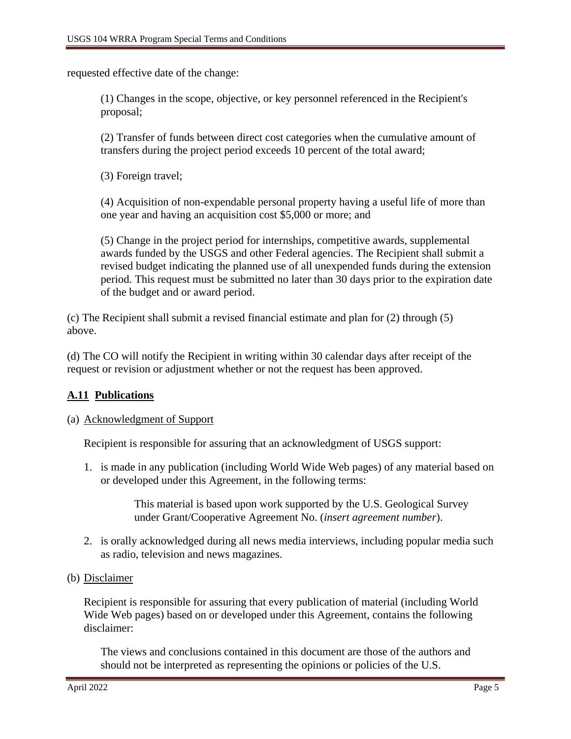requested effective date of the change:

(1) Changes in the scope, objective, or key personnel referenced in the Recipient's proposal;

(2) Transfer of funds between direct cost categories when the cumulative amount of transfers during the project period exceeds 10 percent of the total award;

(3) Foreign travel;

(4) Acquisition of non-expendable personal property having a useful life of more than one year and having an acquisition cost \$5,000 or more; and

(5) Change in the project period for internships, competitive awards, supplemental awards funded by the USGS and other Federal agencies. The Recipient shall submit a revised budget indicating the planned use of all unexpended funds during the extension period. This request must be submitted no later than 30 days prior to the expiration date of the budget and or award period.

(c) The Recipient shall submit a revised financial estimate and plan for (2) through (5) above.

(d) The CO will notify the Recipient in writing within 30 calendar days after receipt of the request or revision or adjustment whether or not the request has been approved.

# **A.11 Publications**

## (a) Acknowledgment of Support

Recipient is responsible for assuring that an acknowledgment of USGS support:

1. is made in any publication (including World Wide Web pages) of any material based on or developed under this Agreement, in the following terms:

> This material is based upon work supported by the U.S. Geological Survey under Grant/Cooperative Agreement No. (*insert agreement number*).

- 2. is orally acknowledged during all news media interviews, including popular media such as radio, television and news magazines.
- (b) Disclaimer

Recipient is responsible for assuring that every publication of material (including World Wide Web pages) based on or developed under this Agreement, contains the following disclaimer:

The views and conclusions contained in this document are those of the authors and should not be interpreted as representing the opinions or policies of the U.S.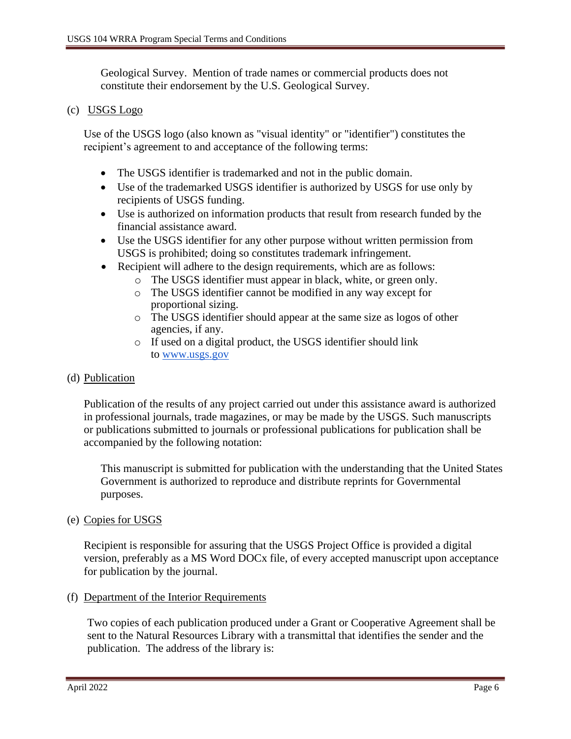Geological Survey. Mention of trade names or commercial products does not constitute their endorsement by the U.S. Geological Survey.

#### (c) USGS Logo

Use of the USGS logo (also known as "visual identity" or "identifier") constitutes the recipient's agreement to and acceptance of the following terms:

- The USGS identifier is trademarked and not in the public domain.
- Use of the trademarked USGS identifier is authorized by USGS for use only by recipients of USGS funding.
- Use is authorized on information products that result from research funded by the financial assistance award.
- Use the USGS identifier for any other purpose without written permission from USGS is prohibited; doing so constitutes trademark infringement.
- Recipient will adhere to the design requirements, which are as follows:
	- o The USGS identifier must appear in black, white, or green only.
	- o The USGS identifier cannot be modified in any way except for proportional sizing.
	- o The USGS identifier should appear at the same size as logos of other agencies, if any.
	- o If used on a digital product, the USGS identifier should link to [www.usgs.gov](http://www.usgs.gov/)

#### (d) Publication

Publication of the results of any project carried out under this assistance award is authorized in professional journals, trade magazines, or may be made by the USGS. Such manuscripts or publications submitted to journals or professional publications for publication shall be accompanied by the following notation:

This manuscript is submitted for publication with the understanding that the United States Government is authorized to reproduce and distribute reprints for Governmental purposes.

#### (e) Copies for USGS

Recipient is responsible for assuring that the USGS Project Office is provided a digital version, preferably as a MS Word DOCx file, of every accepted manuscript upon acceptance for publication by the journal.

#### (f) Department of the Interior Requirements

Two copies of each publication produced under a Grant or Cooperative Agreement shall be sent to the Natural Resources Library with a transmittal that identifies the sender and the publication. The address of the library is: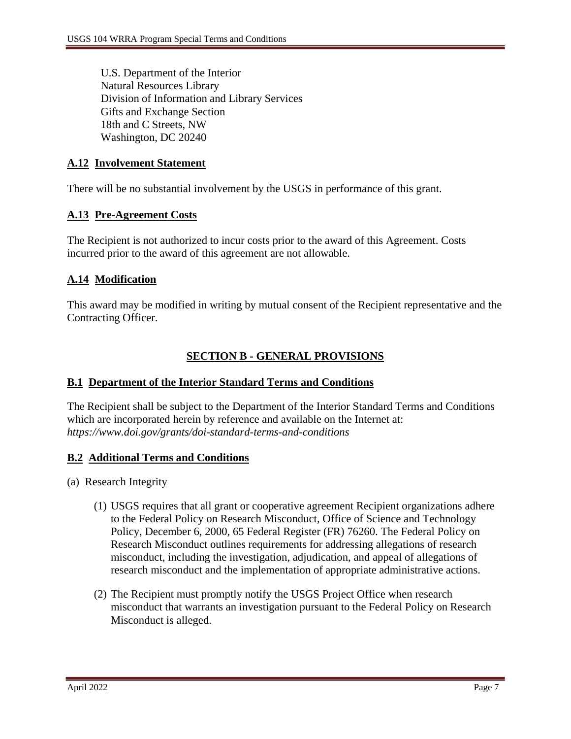U.S. Department of the Interior Natural Resources Library Division of Information and Library Services Gifts and Exchange Section 18th and C Streets, NW Washington, DC 20240

## **A.12 Involvement Statement**

There will be no substantial involvement by the USGS in performance of this grant.

## **A.13 Pre-Agreement Costs**

The Recipient is not authorized to incur costs prior to the award of this Agreement. Costs incurred prior to the award of this agreement are not allowable.

## **A.14 Modification**

This award may be modified in writing by mutual consent of the Recipient representative and the Contracting Officer.

# **SECTION B - GENERAL PROVISIONS**

## **B.1 Department of the Interior Standard Terms and Conditions**

The Recipient shall be subject to the Department of the Interior Standard Terms and Conditions which are incorporated herein by reference and available on the Internet at: *<https://www.doi.gov/grants/doi-standard-terms-and-conditions>*

# **B.2 Additional Terms and Conditions**

- (a) Research Integrity
	- (1) USGS requires that all grant or cooperative agreement Recipient organizations adhere to the Federal Policy on Research Misconduct, Office of Science and Technology Policy, December 6, 2000, 65 Federal Register (FR) 76260. The Federal Policy on Research Misconduct outlines requirements for addressing allegations of research misconduct, including the investigation, adjudication, and appeal of allegations of research misconduct and the implementation of appropriate administrative actions.
	- (2) The Recipient must promptly notify the USGS Project Office when research misconduct that warrants an investigation pursuant to the Federal Policy on Research Misconduct is alleged.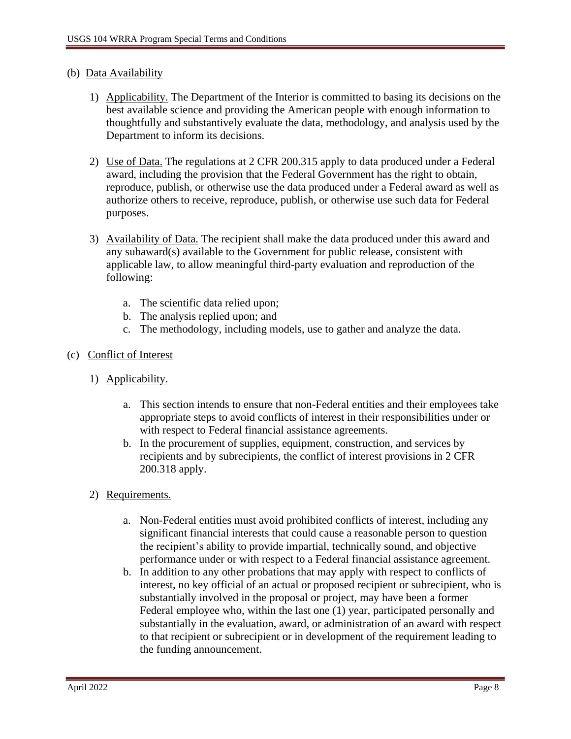### (b) Data Availability

- 1) Applicability. The Department of the Interior is committed to basing its decisions on the best available science and providing the American people with enough information to thoughtfully and substantively evaluate the data, methodology, and analysis used by the Department to inform its decisions.
- 2) Use of Data. The regulations at 2 CFR 200.315 apply to data produced under a Federal award, including the provision that the Federal Government has the right to obtain, reproduce, publish, or otherwise use the data produced under a Federal award as well as authorize others to receive, reproduce, publish, or otherwise use such data for Federal purposes.
- 3) Availability of Data. The recipient shall make the data produced under this award and any subaward(s) available to the Government for public release, consistent with applicable law, to allow meaningful third-party evaluation and reproduction of the following:
	- a. The scientific data relied upon;
	- b. The analysis replied upon; and
	- c. The methodology, including models, use to gather and analyze the data.

#### (c) Conflict of Interest

- 1) Applicability.
	- a. This section intends to ensure that non-Federal entities and their employees take appropriate steps to avoid conflicts of interest in their responsibilities under or with respect to Federal financial assistance agreements.
	- b. In the procurement of supplies, equipment, construction, and services by recipients and by subrecipients, the conflict of interest provisions in 2 CFR 200.318 apply.
- 2) Requirements.
	- a. Non-Federal entities must avoid prohibited conflicts of interest, including any significant financial interests that could cause a reasonable person to question the recipient's ability to provide impartial, technically sound, and objective performance under or with respect to a Federal financial assistance agreement.
	- b. In addition to any other probations that may apply with respect to conflicts of interest, no key official of an actual or proposed recipient or subrecipient, who is substantially involved in the proposal or project, may have been a former Federal employee who, within the last one (1) year, participated personally and substantially in the evaluation, award, or administration of an award with respect to that recipient or subrecipient or in development of the requirement leading to the funding announcement.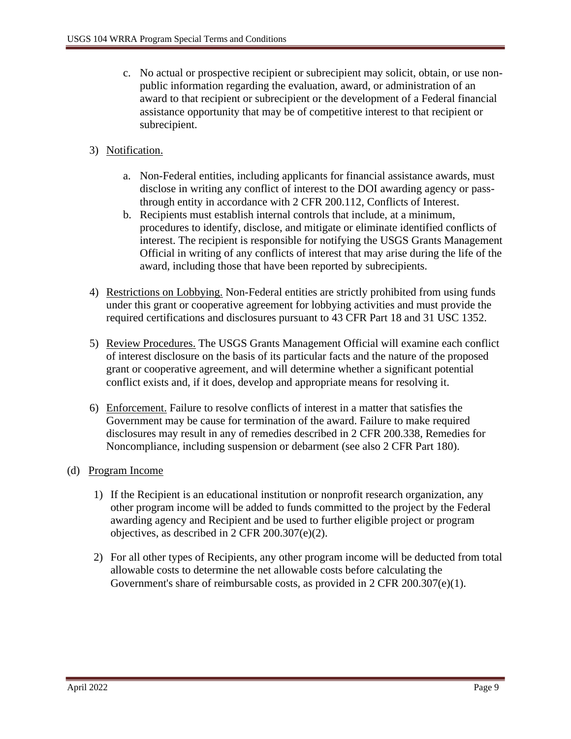- c. No actual or prospective recipient or subrecipient may solicit, obtain, or use nonpublic information regarding the evaluation, award, or administration of an award to that recipient or subrecipient or the development of a Federal financial assistance opportunity that may be of competitive interest to that recipient or subrecipient.
- 3) Notification.
	- a. Non-Federal entities, including applicants for financial assistance awards, must disclose in writing any conflict of interest to the DOI awarding agency or passthrough entity in accordance with 2 CFR 200.112, Conflicts of Interest.
	- b. Recipients must establish internal controls that include, at a minimum, procedures to identify, disclose, and mitigate or eliminate identified conflicts of interest. The recipient is responsible for notifying the USGS Grants Management Official in writing of any conflicts of interest that may arise during the life of the award, including those that have been reported by subrecipients.
- 4) Restrictions on Lobbying. Non-Federal entities are strictly prohibited from using funds under this grant or cooperative agreement for lobbying activities and must provide the required certifications and disclosures pursuant to 43 CFR Part 18 and 31 USC 1352.
- 5) Review Procedures. The USGS Grants Management Official will examine each conflict of interest disclosure on the basis of its particular facts and the nature of the proposed grant or cooperative agreement, and will determine whether a significant potential conflict exists and, if it does, develop and appropriate means for resolving it.
- 6) Enforcement. Failure to resolve conflicts of interest in a matter that satisfies the Government may be cause for termination of the award. Failure to make required disclosures may result in any of remedies described in 2 CFR 200.338, Remedies for Noncompliance, including suspension or debarment (see also 2 CFR Part 180).
- (d) Program Income
	- 1) If the Recipient is an educational institution or nonprofit research organization, any other program income will be added to funds committed to the project by the Federal awarding agency and Recipient and be used to further eligible project or program objectives, as described in 2 CFR 200.307(e)(2).
	- 2) For all other types of Recipients, any other program income will be deducted from total allowable costs to determine the net allowable costs before calculating the Government's share of reimbursable costs, as provided in 2 CFR 200.307(e)(1).